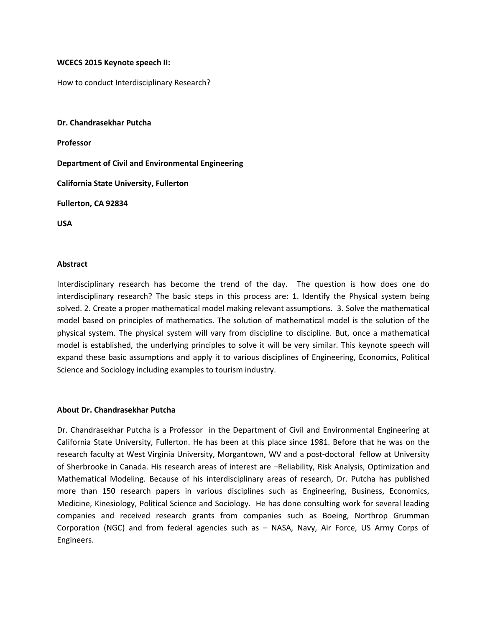## **WCECS 2015 Keynote speech II:**

How to conduct Interdisciplinary Research?

**Dr. Chandrasekhar Putcha Professor Department of Civil and Environmental Engineering California State University, Fullerton Fullerton, CA 92834 USA**

## **Abstract**

Interdisciplinary research has become the trend of the day. The question is how does one do interdisciplinary research? The basic steps in this process are: 1. Identify the Physical system being solved. 2. Create a proper mathematical model making relevant assumptions. 3. Solve the mathematical model based on principles of mathematics. The solution of mathematical model is the solution of the physical system. The physical system will vary from discipline to discipline. But, once a mathematical model is established, the underlying principles to solve it will be very similar. This keynote speech will expand these basic assumptions and apply it to various disciplines of Engineering, Economics, Political Science and Sociology including examples to tourism industry.

## **About Dr.Chandrasekhar Putcha**

Dr. Chandrasekhar Putcha is a Professor in the Department of Civil and Environmental Engineering at California State University, Fullerton. He has been at this place since 1981. Before that he was on the research faculty at West Virginia University, Morgantown, WV and a post-doctoral fellow at University of Sherbrooke in Canada. His research areas of interest are –Reliability, Risk Analysis, Optimization and Mathematical Modeling. Because of his interdisciplinary areas of research, Dr. Putcha has published more than 150 research papers in various disciplines such as Engineering, Business, Economics, Medicine, Kinesiology, Political Science and Sociology. He has done consulting work for several leading companies and received research grants from companies such as Boeing, Northrop Grumman Corporation (NGC) and from federal agencies such as - NASA, Navy, Air Force, US Army Corps of Engineers.